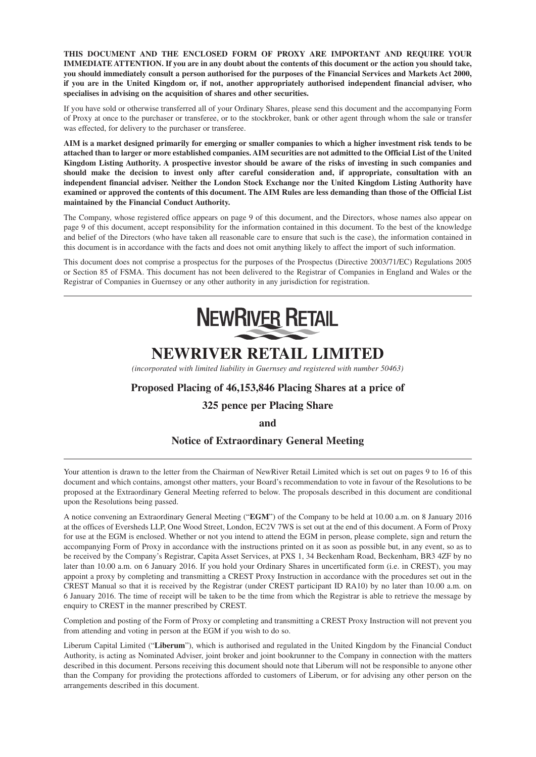**THIS DOCUMENT AND THE ENCLOSED FORM OF PROXY ARE IMPORTANT AND REQUIRE YOUR IMMEDIATE ATTENTION. If you are in any doubt about the contents of this document or the action you should take, you should immediately consult a person authorised for the purposes of the Financial Services and Markets Act 2000, if you are in the United Kingdom or, if not, another appropriately authorised independent financial adviser, who specialises in advising on the acquisition of shares and other securities.**

If you have sold or otherwise transferred all of your Ordinary Shares, please send this document and the accompanying Form of Proxy at once to the purchaser or transferee, or to the stockbroker, bank or other agent through whom the sale or transfer was effected, for delivery to the purchaser or transferee.

**AIM is a market designed primarily for emerging or smaller companies to which a higher investment risk tends to be attached than to larger or more established companies. AIM securities are not admitted to the Official List of the United Kingdom Listing Authority. A prospective investor should be aware of the risks of investing in such companies and should make the decision to invest only after careful consideration and, if appropriate, consultation with an independent financial adviser. Neither the London Stock Exchange nor the United Kingdom Listing Authority have examined or approved the contents of this document. The AIM Rules are less demanding than those of the Official List maintained by the Financial Conduct Authority.**

The Company, whose registered office appears on page 9 of this document, and the Directors, whose names also appear on page 9 of this document, accept responsibility for the information contained in this document. To the best of the knowledge and belief of the Directors (who have taken all reasonable care to ensure that such is the case), the information contained in this document is in accordance with the facts and does not omit anything likely to affect the import of such information.

This document does not comprise a prospectus for the purposes of the Prospectus (Directive 2003/71/EC) Regulations 2005 or Section 85 of FSMA. This document has not been delivered to the Registrar of Companies in England and Wales or the Registrar of Companies in Guernsey or any other authority in any jurisdiction for registration.



# **NEWRIVER RETAIL LIMITED**

*(incorporated with limited liability in Guernsey and registered with number 50463)*

## **Proposed Placing of 46,153,846 Placing Shares at a price of**

#### **325 pence per Placing Share**

**and**

#### **Notice of Extraordinary General Meeting**

Your attention is drawn to the letter from the Chairman of NewRiver Retail Limited which is set out on pages 9 to 16 of this document and which contains, amongst other matters, your Board's recommendation to vote in favour of the Resolutions to be proposed at the Extraordinary General Meeting referred to below. The proposals described in this document are conditional upon the Resolutions being passed.

A notice convening an Extraordinary General Meeting ("**EGM**") of the Company to be held at 10.00 a.m. on 8 January 2016 at the offices of Eversheds LLP, One Wood Street, London, EC2V 7WS is set out at the end of this document. A Form of Proxy for use at the EGM is enclosed. Whether or not you intend to attend the EGM in person, please complete, sign and return the accompanying Form of Proxy in accordance with the instructions printed on it as soon as possible but, in any event, so as to be received by the Company's Registrar, Capita Asset Services, at PXS 1, 34 Beckenham Road, Beckenham, BR3 4ZF by no later than 10.00 a.m. on 6 January 2016. If you hold your Ordinary Shares in uncertificated form (i.e. in CREST), you may appoint a proxy by completing and transmitting a CREST Proxy Instruction in accordance with the procedures set out in the CREST Manual so that it is received by the Registrar (under CREST participant ID RA10) by no later than 10.00 a.m. on 6 January 2016. The time of receipt will be taken to be the time from which the Registrar is able to retrieve the message by enquiry to CREST in the manner prescribed by CREST.

Completion and posting of the Form of Proxy or completing and transmitting a CREST Proxy Instruction will not prevent you from attending and voting in person at the EGM if you wish to do so.

Liberum Capital Limited ("**Liberum**"), which is authorised and regulated in the United Kingdom by the Financial Conduct Authority, is acting as Nominated Adviser, joint broker and joint bookrunner to the Company in connection with the matters described in this document. Persons receiving this document should note that Liberum will not be responsible to anyone other than the Company for providing the protections afforded to customers of Liberum, or for advising any other person on the arrangements described in this document.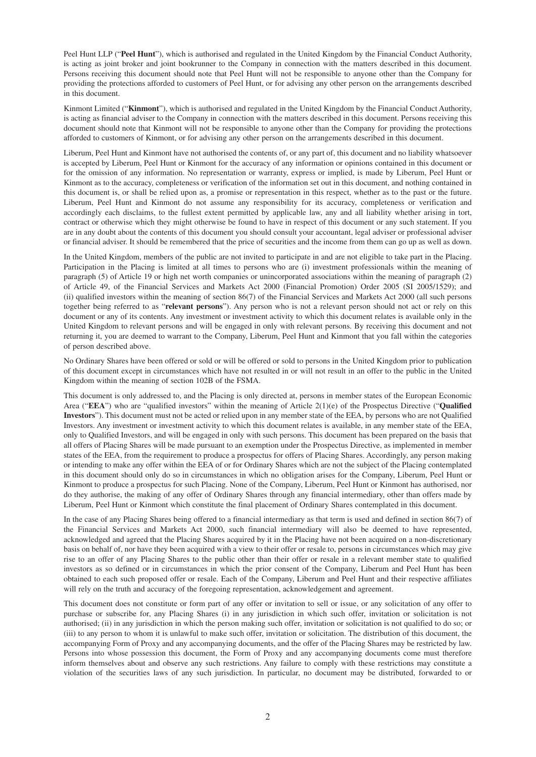Peel Hunt LLP ("**Peel Hunt**"), which is authorised and regulated in the United Kingdom by the Financial Conduct Authority, is acting as joint broker and joint bookrunner to the Company in connection with the matters described in this document. Persons receiving this document should note that Peel Hunt will not be responsible to anyone other than the Company for providing the protections afforded to customers of Peel Hunt, or for advising any other person on the arrangements described in this document.

Kinmont Limited ("**Kinmont**"), which is authorised and regulated in the United Kingdom by the Financial Conduct Authority, is acting as financial adviser to the Company in connection with the matters described in this document. Persons receiving this document should note that Kinmont will not be responsible to anyone other than the Company for providing the protections afforded to customers of Kinmont, or for advising any other person on the arrangements described in this document.

Liberum, Peel Hunt and Kinmont have not authorised the contents of, or any part of, this document and no liability whatsoever is accepted by Liberum, Peel Hunt or Kinmont for the accuracy of any information or opinions contained in this document or for the omission of any information. No representation or warranty, express or implied, is made by Liberum, Peel Hunt or Kinmont as to the accuracy, completeness or verification of the information set out in this document, and nothing contained in this document is, or shall be relied upon as, a promise or representation in this respect, whether as to the past or the future. Liberum, Peel Hunt and Kinmont do not assume any responsibility for its accuracy, completeness or verification and accordingly each disclaims, to the fullest extent permitted by applicable law, any and all liability whether arising in tort, contract or otherwise which they might otherwise be found to have in respect of this document or any such statement. If you are in any doubt about the contents of this document you should consult your accountant, legal adviser or professional adviser or financial adviser. It should be remembered that the price of securities and the income from them can go up as well as down.

In the United Kingdom, members of the public are not invited to participate in and are not eligible to take part in the Placing. Participation in the Placing is limited at all times to persons who are (i) investment professionals within the meaning of paragraph (5) of Article 19 or high net worth companies or unincorporated associations within the meaning of paragraph (2) of Article 49, of the Financial Services and Markets Act 2000 (Financial Promotion) Order 2005 (SI 2005/1529); and (ii) qualified investors within the meaning of section 86(7) of the Financial Services and Markets Act 2000 (all such persons together being referred to as "**relevant persons**"). Any person who is not a relevant person should not act or rely on this document or any of its contents. Any investment or investment activity to which this document relates is available only in the United Kingdom to relevant persons and will be engaged in only with relevant persons. By receiving this document and not returning it, you are deemed to warrant to the Company, Liberum, Peel Hunt and Kinmont that you fall within the categories of person described above.

No Ordinary Shares have been offered or sold or will be offered or sold to persons in the United Kingdom prior to publication of this document except in circumstances which have not resulted in or will not result in an offer to the public in the United Kingdom within the meaning of section 102B of the FSMA.

This document is only addressed to, and the Placing is only directed at, persons in member states of the European Economic Area ("**EEA**") who are "qualified investors" within the meaning of Article 2(1)(e) of the Prospectus Directive ("**Qualified Investors**"). This document must not be acted or relied upon in any member state of the EEA, by persons who are not Qualified Investors. Any investment or investment activity to which this document relates is available, in any member state of the EEA, only to Qualified Investors, and will be engaged in only with such persons. This document has been prepared on the basis that all offers of Placing Shares will be made pursuant to an exemption under the Prospectus Directive, as implemented in member states of the EEA, from the requirement to produce a prospectus for offers of Placing Shares. Accordingly, any person making or intending to make any offer within the EEA of or for Ordinary Shares which are not the subject of the Placing contemplated in this document should only do so in circumstances in which no obligation arises for the Company, Liberum, Peel Hunt or Kinmont to produce a prospectus for such Placing. None of the Company, Liberum, Peel Hunt or Kinmont has authorised, nor do they authorise, the making of any offer of Ordinary Shares through any financial intermediary, other than offers made by Liberum, Peel Hunt or Kinmont which constitute the final placement of Ordinary Shares contemplated in this document.

In the case of any Placing Shares being offered to a financial intermediary as that term is used and defined in section 86(7) of the Financial Services and Markets Act 2000, such financial intermediary will also be deemed to have represented, acknowledged and agreed that the Placing Shares acquired by it in the Placing have not been acquired on a non-discretionary basis on behalf of, nor have they been acquired with a view to their offer or resale to, persons in circumstances which may give rise to an offer of any Placing Shares to the public other than their offer or resale in a relevant member state to qualified investors as so defined or in circumstances in which the prior consent of the Company, Liberum and Peel Hunt has been obtained to each such proposed offer or resale. Each of the Company, Liberum and Peel Hunt and their respective affiliates will rely on the truth and accuracy of the foregoing representation, acknowledgement and agreement.

This document does not constitute or form part of any offer or invitation to sell or issue, or any solicitation of any offer to purchase or subscribe for, any Placing Shares (i) in any jurisdiction in which such offer, invitation or solicitation is not authorised; (ii) in any jurisdiction in which the person making such offer, invitation or solicitation is not qualified to do so; or (iii) to any person to whom it is unlawful to make such offer, invitation or solicitation. The distribution of this document, the accompanying Form of Proxy and any accompanying documents, and the offer of the Placing Shares may be restricted by law. Persons into whose possession this document, the Form of Proxy and any accompanying documents come must therefore inform themselves about and observe any such restrictions. Any failure to comply with these restrictions may constitute a violation of the securities laws of any such jurisdiction. In particular, no document may be distributed, forwarded to or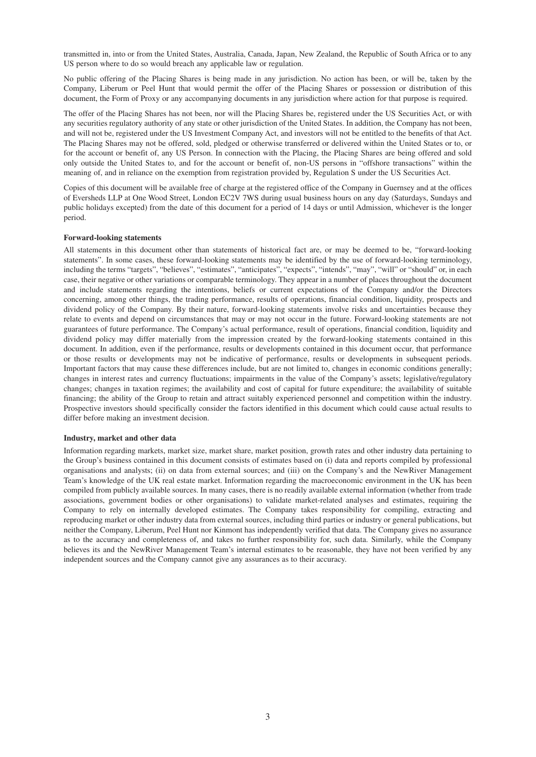transmitted in, into or from the United States, Australia, Canada, Japan, New Zealand, the Republic of South Africa or to any US person where to do so would breach any applicable law or regulation.

No public offering of the Placing Shares is being made in any jurisdiction. No action has been, or will be, taken by the Company, Liberum or Peel Hunt that would permit the offer of the Placing Shares or possession or distribution of this document, the Form of Proxy or any accompanying documents in any jurisdiction where action for that purpose is required.

The offer of the Placing Shares has not been, nor will the Placing Shares be, registered under the US Securities Act, or with any securities regulatory authority of any state or other jurisdiction of the United States. In addition, the Company has not been, and will not be, registered under the US Investment Company Act, and investors will not be entitled to the benefits of that Act. The Placing Shares may not be offered, sold, pledged or otherwise transferred or delivered within the United States or to, or for the account or benefit of, any US Person. In connection with the Placing, the Placing Shares are being offered and sold only outside the United States to, and for the account or benefit of, non-US persons in "offshore transactions" within the meaning of, and in reliance on the exemption from registration provided by, Regulation S under the US Securities Act.

Copies of this document will be available free of charge at the registered office of the Company in Guernsey and at the offices of Eversheds LLP at One Wood Street, London EC2V 7WS during usual business hours on any day (Saturdays, Sundays and public holidays excepted) from the date of this document for a period of 14 days or until Admission, whichever is the longer period.

#### **Forward-looking statements**

All statements in this document other than statements of historical fact are, or may be deemed to be, "forward-looking statements". In some cases, these forward-looking statements may be identified by the use of forward-looking terminology, including the terms "targets", "believes", "estimates", "anticipates", "expects", "intends", "may", "will" or "should" or, in each case, their negative or other variations or comparable terminology. They appear in a number of places throughout the document and include statements regarding the intentions, beliefs or current expectations of the Company and/or the Directors concerning, among other things, the trading performance, results of operations, financial condition, liquidity, prospects and dividend policy of the Company. By their nature, forward-looking statements involve risks and uncertainties because they relate to events and depend on circumstances that may or may not occur in the future. Forward-looking statements are not guarantees of future performance. The Company's actual performance, result of operations, financial condition, liquidity and dividend policy may differ materially from the impression created by the forward-looking statements contained in this document. In addition, even if the performance, results or developments contained in this document occur, that performance or those results or developments may not be indicative of performance, results or developments in subsequent periods. Important factors that may cause these differences include, but are not limited to, changes in economic conditions generally; changes in interest rates and currency fluctuations; impairments in the value of the Company's assets; legislative/regulatory changes; changes in taxation regimes; the availability and cost of capital for future expenditure; the availability of suitable financing; the ability of the Group to retain and attract suitably experienced personnel and competition within the industry. Prospective investors should specifically consider the factors identified in this document which could cause actual results to differ before making an investment decision.

#### **Industry, market and other data**

Information regarding markets, market size, market share, market position, growth rates and other industry data pertaining to the Group's business contained in this document consists of estimates based on (i) data and reports compiled by professional organisations and analysts; (ii) on data from external sources; and (iii) on the Company's and the NewRiver Management Team's knowledge of the UK real estate market. Information regarding the macroeconomic environment in the UK has been compiled from publicly available sources. In many cases, there is no readily available external information (whether from trade associations, government bodies or other organisations) to validate market-related analyses and estimates, requiring the Company to rely on internally developed estimates. The Company takes responsibility for compiling, extracting and reproducing market or other industry data from external sources, including third parties or industry or general publications, but neither the Company, Liberum, Peel Hunt nor Kinmont has independently verified that data. The Company gives no assurance as to the accuracy and completeness of, and takes no further responsibility for, such data. Similarly, while the Company believes its and the NewRiver Management Team's internal estimates to be reasonable, they have not been verified by any independent sources and the Company cannot give any assurances as to their accuracy.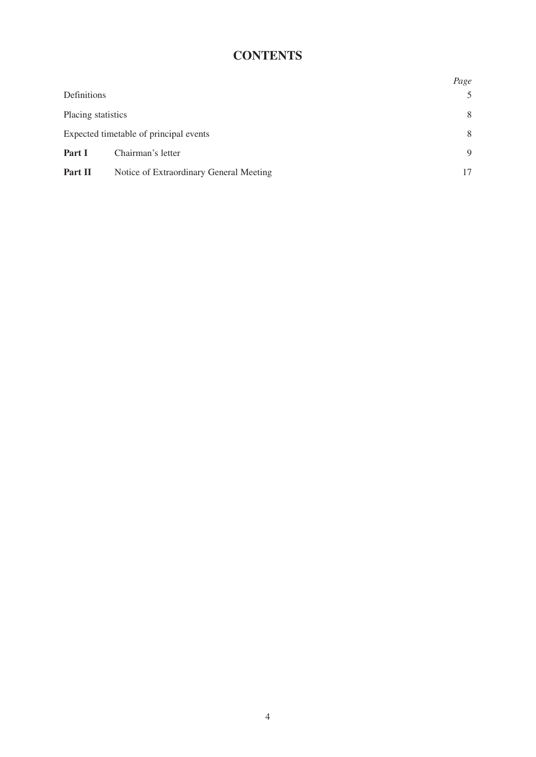# **CONTENTS**

|                                                    | Page |
|----------------------------------------------------|------|
| Definitions                                        | 5    |
| Placing statistics                                 | 8    |
| Expected timetable of principal events             | 8    |
| Part I<br>Chairman's letter                        | 9    |
| Part II<br>Notice of Extraordinary General Meeting | 17   |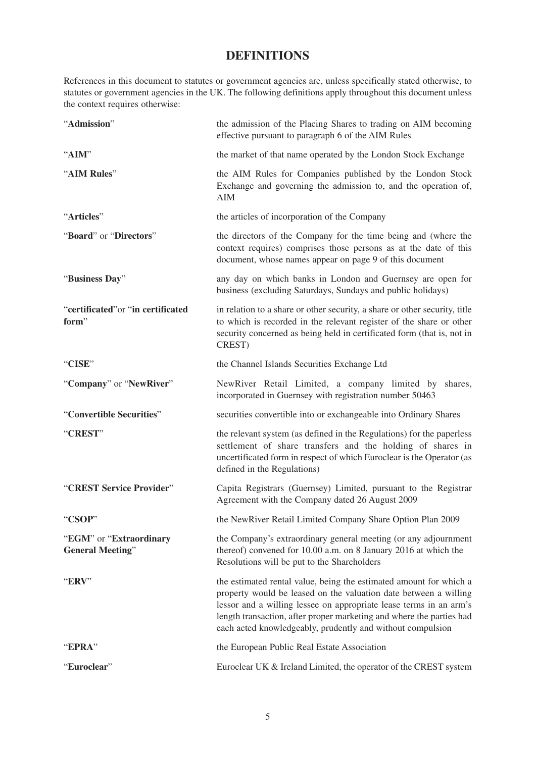## **DEFINITIONS**

References in this document to statutes or government agencies are, unless specifically stated otherwise, to statutes or government agencies in the UK. The following definitions apply throughout this document unless the context requires otherwise:

| "Admission"                                        | the admission of the Placing Shares to trading on AIM becoming<br>effective pursuant to paragraph 6 of the AIM Rules                                                                                                                                                                                                                               |  |
|----------------------------------------------------|----------------------------------------------------------------------------------------------------------------------------------------------------------------------------------------------------------------------------------------------------------------------------------------------------------------------------------------------------|--|
| "AIM"                                              | the market of that name operated by the London Stock Exchange                                                                                                                                                                                                                                                                                      |  |
| "AIM Rules"                                        | the AIM Rules for Companies published by the London Stock<br>Exchange and governing the admission to, and the operation of,<br><b>AIM</b>                                                                                                                                                                                                          |  |
| "Articles"                                         | the articles of incorporation of the Company                                                                                                                                                                                                                                                                                                       |  |
| "Board" or "Directors"                             | the directors of the Company for the time being and (where the<br>context requires) comprises those persons as at the date of this<br>document, whose names appear on page 9 of this document                                                                                                                                                      |  |
| "Business Day"                                     | any day on which banks in London and Guernsey are open for<br>business (excluding Saturdays, Sundays and public holidays)                                                                                                                                                                                                                          |  |
| "certificated" or "in certificated<br>form"        | in relation to a share or other security, a share or other security, title<br>to which is recorded in the relevant register of the share or other<br>security concerned as being held in certificated form (that is, not in<br>CREST)                                                                                                              |  |
| "CISE"                                             | the Channel Islands Securities Exchange Ltd                                                                                                                                                                                                                                                                                                        |  |
| "Company" or "NewRiver"                            | NewRiver Retail Limited, a company limited by shares,<br>incorporated in Guernsey with registration number 50463                                                                                                                                                                                                                                   |  |
| "Convertible Securities"                           | securities convertible into or exchangeable into Ordinary Shares                                                                                                                                                                                                                                                                                   |  |
| "CREST"                                            | the relevant system (as defined in the Regulations) for the paperless<br>settlement of share transfers and the holding of shares in<br>uncertificated form in respect of which Euroclear is the Operator (as<br>defined in the Regulations)                                                                                                        |  |
| "CREST Service Provider"                           | Capita Registrars (Guernsey) Limited, pursuant to the Registrar<br>Agreement with the Company dated 26 August 2009                                                                                                                                                                                                                                 |  |
| "CSOP"                                             | the NewRiver Retail Limited Company Share Option Plan 2009                                                                                                                                                                                                                                                                                         |  |
| "EGM" or "Extraordinary<br><b>General Meeting"</b> | the Company's extraordinary general meeting (or any adjournment<br>thereof) convened for 10.00 a.m. on 8 January 2016 at which the<br>Resolutions will be put to the Shareholders                                                                                                                                                                  |  |
| "ERV"                                              | the estimated rental value, being the estimated amount for which a<br>property would be leased on the valuation date between a willing<br>lessor and a willing lessee on appropriate lease terms in an arm's<br>length transaction, after proper marketing and where the parties had<br>each acted knowledgeably, prudently and without compulsion |  |
| "EPRA"                                             | the European Public Real Estate Association                                                                                                                                                                                                                                                                                                        |  |
| "Euroclear"                                        | Euroclear UK & Ireland Limited, the operator of the CREST system                                                                                                                                                                                                                                                                                   |  |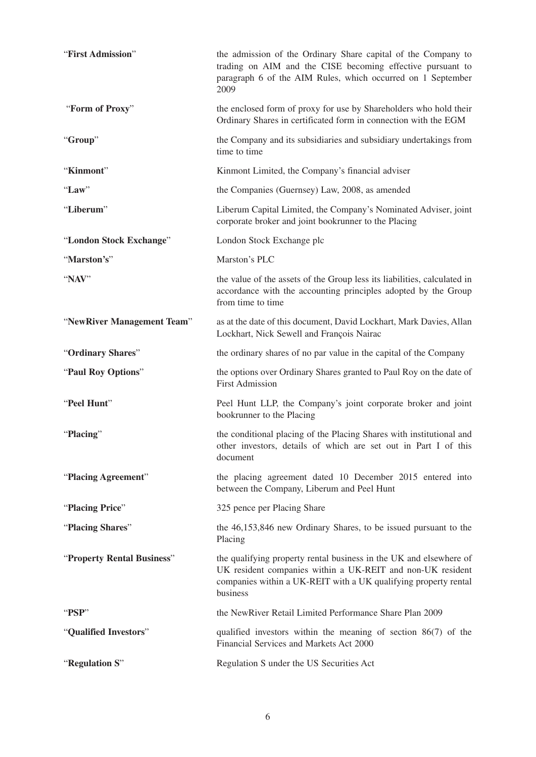| "First Admission"          | the admission of the Ordinary Share capital of the Company to<br>trading on AIM and the CISE becoming effective pursuant to<br>paragraph 6 of the AIM Rules, which occurred on 1 September<br>2009              |
|----------------------------|-----------------------------------------------------------------------------------------------------------------------------------------------------------------------------------------------------------------|
| "Form of Proxy"            | the enclosed form of proxy for use by Shareholders who hold their<br>Ordinary Shares in certificated form in connection with the EGM                                                                            |
| "Group"                    | the Company and its subsidiaries and subsidiary undertakings from<br>time to time                                                                                                                               |
| "Kinmont"                  | Kinmont Limited, the Company's financial adviser                                                                                                                                                                |
| "Law"                      | the Companies (Guernsey) Law, 2008, as amended                                                                                                                                                                  |
| "Liberum"                  | Liberum Capital Limited, the Company's Nominated Adviser, joint<br>corporate broker and joint bookrunner to the Placing                                                                                         |
| "London Stock Exchange"    | London Stock Exchange plc                                                                                                                                                                                       |
| "Marston's"                | Marston's PLC                                                                                                                                                                                                   |
| "NAV"                      | the value of the assets of the Group less its liabilities, calculated in<br>accordance with the accounting principles adopted by the Group<br>from time to time                                                 |
| "NewRiver Management Team" | as at the date of this document, David Lockhart, Mark Davies, Allan<br>Lockhart, Nick Sewell and François Nairac                                                                                                |
| "Ordinary Shares"          | the ordinary shares of no par value in the capital of the Company                                                                                                                                               |
| "Paul Roy Options"         | the options over Ordinary Shares granted to Paul Roy on the date of<br><b>First Admission</b>                                                                                                                   |
| "Peel Hunt"                | Peel Hunt LLP, the Company's joint corporate broker and joint<br>bookrunner to the Placing                                                                                                                      |
| "Placing"                  | the conditional placing of the Placing Shares with institutional and<br>other investors, details of which are set out in Part I of this<br>document                                                             |
| "Placing Agreement"        | the placing agreement dated 10 December 2015 entered into<br>between the Company, Liberum and Peel Hunt                                                                                                         |
| "Placing Price"            | 325 pence per Placing Share                                                                                                                                                                                     |
| "Placing Shares"           | the 46,153,846 new Ordinary Shares, to be issued pursuant to the<br>Placing                                                                                                                                     |
| "Property Rental Business" | the qualifying property rental business in the UK and elsewhere of<br>UK resident companies within a UK-REIT and non-UK resident<br>companies within a UK-REIT with a UK qualifying property rental<br>business |
| "PSP"                      | the NewRiver Retail Limited Performance Share Plan 2009                                                                                                                                                         |
| "Qualified Investors"      | qualified investors within the meaning of section $86(7)$ of the<br>Financial Services and Markets Act 2000                                                                                                     |
| "Regulation S"             | Regulation S under the US Securities Act                                                                                                                                                                        |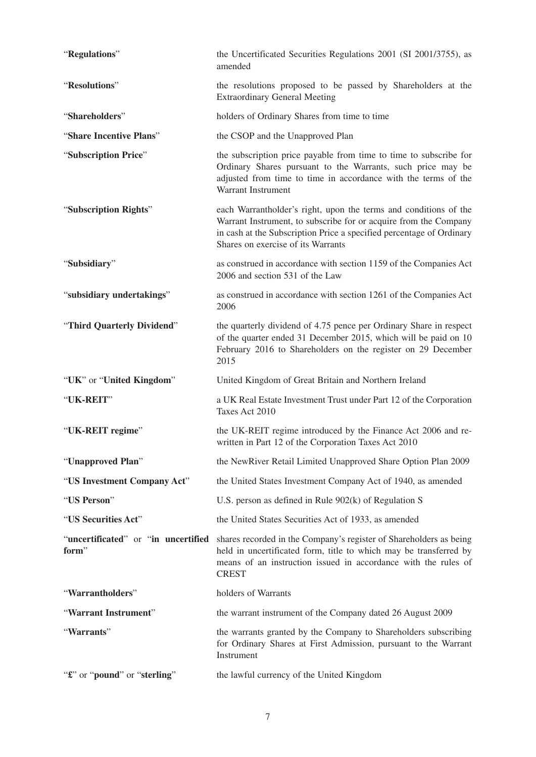| "Regulations"                                | the Uncertificated Securities Regulations 2001 (SI 2001/3755), as<br>amended                                                                                                                                                                       |
|----------------------------------------------|----------------------------------------------------------------------------------------------------------------------------------------------------------------------------------------------------------------------------------------------------|
| "Resolutions"                                | the resolutions proposed to be passed by Shareholders at the<br><b>Extraordinary General Meeting</b>                                                                                                                                               |
| "Shareholders"                               | holders of Ordinary Shares from time to time                                                                                                                                                                                                       |
| "Share Incentive Plans"                      | the CSOP and the Unapproved Plan                                                                                                                                                                                                                   |
| "Subscription Price"                         | the subscription price payable from time to time to subscribe for<br>Ordinary Shares pursuant to the Warrants, such price may be<br>adjusted from time to time in accordance with the terms of the<br>Warrant Instrument                           |
| "Subscription Rights"                        | each Warrantholder's right, upon the terms and conditions of the<br>Warrant Instrument, to subscribe for or acquire from the Company<br>in cash at the Subscription Price a specified percentage of Ordinary<br>Shares on exercise of its Warrants |
| "Subsidiary"                                 | as construed in accordance with section 1159 of the Companies Act<br>2006 and section 531 of the Law                                                                                                                                               |
| "subsidiary undertakings"                    | as construed in accordance with section 1261 of the Companies Act<br>2006                                                                                                                                                                          |
| "Third Quarterly Dividend"                   | the quarterly dividend of 4.75 pence per Ordinary Share in respect<br>of the quarter ended 31 December 2015, which will be paid on 10<br>February 2016 to Shareholders on the register on 29 December<br>2015                                      |
| "UK" or "United Kingdom"                     | United Kingdom of Great Britain and Northern Ireland                                                                                                                                                                                               |
| "UK-REIT"                                    | a UK Real Estate Investment Trust under Part 12 of the Corporation<br>Taxes Act 2010                                                                                                                                                               |
| "UK-REIT regime"                             | the UK-REIT regime introduced by the Finance Act 2006 and re-                                                                                                                                                                                      |
|                                              | written in Part 12 of the Corporation Taxes Act 2010                                                                                                                                                                                               |
| "Unapproved Plan"                            | the NewRiver Retail Limited Unapproved Share Option Plan 2009                                                                                                                                                                                      |
| "US Investment Company Act"                  | the United States Investment Company Act of 1940, as amended                                                                                                                                                                                       |
| "US Person"                                  | U.S. person as defined in Rule $902(k)$ of Regulation S                                                                                                                                                                                            |
| "US Securities Act"                          | the United States Securities Act of 1933, as amended                                                                                                                                                                                               |
| "uncertificated" or "in uncertified<br>form" | shares recorded in the Company's register of Shareholders as being<br>held in uncertificated form, title to which may be transferred by<br>means of an instruction issued in accordance with the rules of<br><b>CREST</b>                          |
| "Warrantholders"                             | holders of Warrants                                                                                                                                                                                                                                |
| "Warrant Instrument"                         | the warrant instrument of the Company dated 26 August 2009                                                                                                                                                                                         |
| "Warrants"                                   | the warrants granted by the Company to Shareholders subscribing<br>for Ordinary Shares at First Admission, pursuant to the Warrant<br>Instrument                                                                                                   |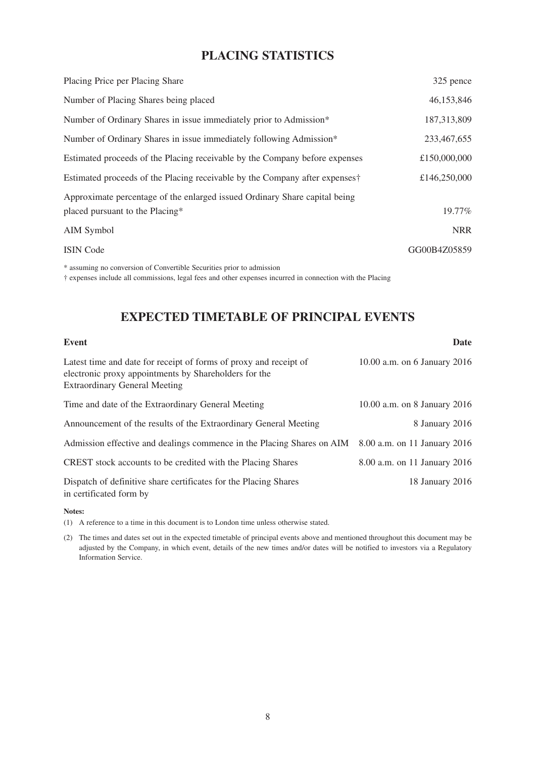## **PLACING STATISTICS**

| Placing Price per Placing Share                                             | 325 pence    |
|-----------------------------------------------------------------------------|--------------|
| Number of Placing Shares being placed                                       | 46,153,846   |
| Number of Ordinary Shares in issue immediately prior to Admission*          | 187,313,809  |
| Number of Ordinary Shares in issue immediately following Admission*         | 233,467,655  |
| Estimated proceeds of the Placing receivable by the Company before expenses | £150,000,000 |
| Estimated proceeds of the Placing receivable by the Company after expenses  | £146,250,000 |
| Approximate percentage of the enlarged issued Ordinary Share capital being  |              |
| placed pursuant to the Placing*                                             | 19.77%       |
| AIM Symbol                                                                  | <b>NRR</b>   |
| <b>ISIN Code</b>                                                            | GG00B4Z05859 |
| st against a sea againment an af Cannant U. Cannatias suite ea albeitail se |              |

assuming no conversion of Convertible Securities prior to admission

## † expenses include all commissions, legal fees and other expenses incurred in connection with the Placing

# **EXPECTED TIMETABLE OF PRINCIPAL EVENTS**

| <b>Event</b>                                                                                                                                                       | <b>Date</b>                  |
|--------------------------------------------------------------------------------------------------------------------------------------------------------------------|------------------------------|
| Latest time and date for receipt of forms of proxy and receipt of<br>electronic proxy appointments by Shareholders for the<br><b>Extraordinary General Meeting</b> | 10.00 a.m. on 6 January 2016 |
| Time and date of the Extraordinary General Meeting                                                                                                                 | 10.00 a.m. on 8 January 2016 |
| Announcement of the results of the Extraordinary General Meeting                                                                                                   | 8 January 2016               |
| Admission effective and dealings commence in the Placing Shares on AIM                                                                                             | 8.00 a.m. on 11 January 2016 |
| CREST stock accounts to be credited with the Placing Shares                                                                                                        | 8.00 a.m. on 11 January 2016 |
| Dispatch of definitive share certificates for the Placing Shares<br>in certificated form by                                                                        | 18 January 2016              |

**Notes:**

(1) A reference to a time in this document is to London time unless otherwise stated.

(2) The times and dates set out in the expected timetable of principal events above and mentioned throughout this document may be adjusted by the Company, in which event, details of the new times and/or dates will be notified to investors via a Regulatory Information Service.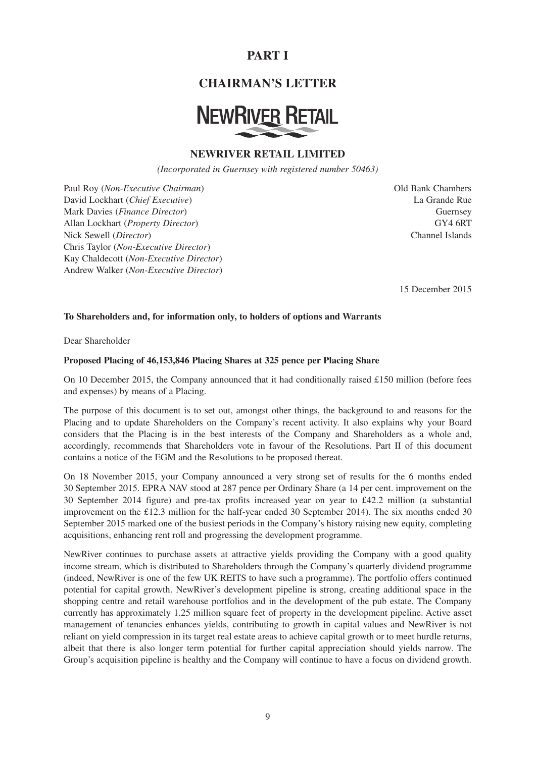# **PART I**

## **CHAIRMAN'S LETTER**

# **NEWRIVER RETAIL**

## **NEWRIVER RETAIL LIMITED**

*(Incorporated in Guernsey with registered number 50463)*

Paul Roy (*Non-Executive Chairman*) Old Bank Chambers David Lockhart (*Chief Executive*) La Grande Rue Mark Davies (*Finance Director*) Guernsey Allan Lockhart (*Property Director*) GY4 6RT Nick Sewell (*Director*) Channel Islands Chris Taylor (*Non-Executive Director*) Kay Chaldecott (*Non-Executive Director*) Andrew Walker (*Non-Executive Director*)

15 December 2015

#### **To Shareholders and, for information only, to holders of options and Warrants**

Dear Shareholder

#### **Proposed Placing of 46,153,846 Placing Shares at 325 pence per Placing Share**

On 10 December 2015, the Company announced that it had conditionally raised £150 million (before fees and expenses) by means of a Placing.

The purpose of this document is to set out, amongst other things, the background to and reasons for the Placing and to update Shareholders on the Company's recent activity. It also explains why your Board considers that the Placing is in the best interests of the Company and Shareholders as a whole and, accordingly, recommends that Shareholders vote in favour of the Resolutions. Part II of this document contains a notice of the EGM and the Resolutions to be proposed thereat.

On 18 November 2015, your Company announced a very strong set of results for the 6 months ended 30 September 2015. EPRA NAV stood at 287 pence per Ordinary Share (a 14 per cent. improvement on the 30 September 2014 figure) and pre-tax profits increased year on year to £42.2 million (a substantial improvement on the £12.3 million for the half-year ended 30 September 2014). The six months ended 30 September 2015 marked one of the busiest periods in the Company's history raising new equity, completing acquisitions, enhancing rent roll and progressing the development programme.

NewRiver continues to purchase assets at attractive yields providing the Company with a good quality income stream, which is distributed to Shareholders through the Company's quarterly dividend programme (indeed, NewRiver is one of the few UK REITS to have such a programme). The portfolio offers continued potential for capital growth. NewRiver's development pipeline is strong, creating additional space in the shopping centre and retail warehouse portfolios and in the development of the pub estate. The Company currently has approximately 1.25 million square feet of property in the development pipeline. Active asset management of tenancies enhances yields, contributing to growth in capital values and NewRiver is not reliant on yield compression in its target real estate areas to achieve capital growth or to meet hurdle returns, albeit that there is also longer term potential for further capital appreciation should yields narrow. The Group's acquisition pipeline is healthy and the Company will continue to have a focus on dividend growth.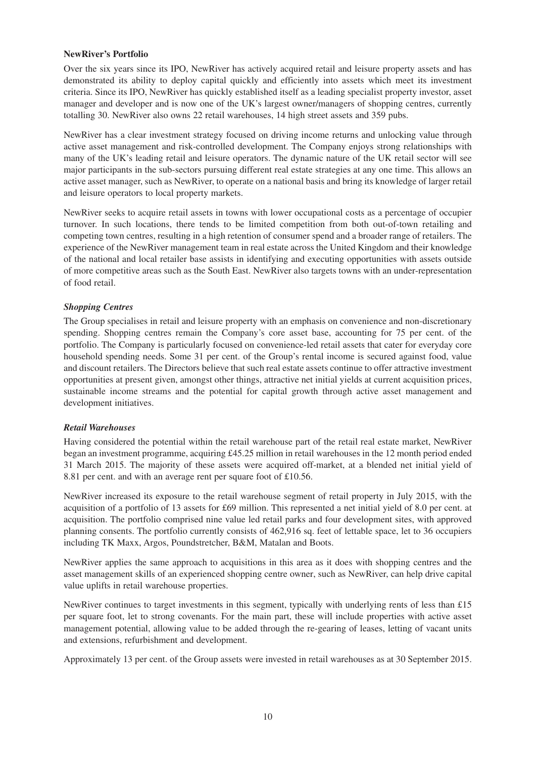#### **NewRiver's Portfolio**

Over the six years since its IPO, NewRiver has actively acquired retail and leisure property assets and has demonstrated its ability to deploy capital quickly and efficiently into assets which meet its investment criteria. Since its IPO, NewRiver has quickly established itself as a leading specialist property investor, asset manager and developer and is now one of the UK's largest owner/managers of shopping centres, currently totalling 30. NewRiver also owns 22 retail warehouses, 14 high street assets and 359 pubs.

NewRiver has a clear investment strategy focused on driving income returns and unlocking value through active asset management and risk-controlled development. The Company enjoys strong relationships with many of the UK's leading retail and leisure operators. The dynamic nature of the UK retail sector will see major participants in the sub-sectors pursuing different real estate strategies at any one time. This allows an active asset manager, such as NewRiver, to operate on a national basis and bring its knowledge of larger retail and leisure operators to local property markets.

NewRiver seeks to acquire retail assets in towns with lower occupational costs as a percentage of occupier turnover. In such locations, there tends to be limited competition from both out-of-town retailing and competing town centres, resulting in a high retention of consumer spend and a broader range of retailers. The experience of the NewRiver management team in real estate across the United Kingdom and their knowledge of the national and local retailer base assists in identifying and executing opportunities with assets outside of more competitive areas such as the South East. NewRiver also targets towns with an under-representation of food retail.

#### *Shopping Centres*

The Group specialises in retail and leisure property with an emphasis on convenience and non-discretionary spending. Shopping centres remain the Company's core asset base, accounting for 75 per cent. of the portfolio. The Company is particularly focused on convenience-led retail assets that cater for everyday core household spending needs. Some 31 per cent. of the Group's rental income is secured against food, value and discount retailers. The Directors believe that such real estate assets continue to offer attractive investment opportunities at present given, amongst other things, attractive net initial yields at current acquisition prices, sustainable income streams and the potential for capital growth through active asset management and development initiatives.

#### *Retail Warehouses*

Having considered the potential within the retail warehouse part of the retail real estate market, NewRiver began an investment programme, acquiring £45.25 million in retail warehouses in the 12 month period ended 31 March 2015. The majority of these assets were acquired off-market, at a blended net initial yield of 8.81 per cent. and with an average rent per square foot of £10.56.

NewRiver increased its exposure to the retail warehouse segment of retail property in July 2015, with the acquisition of a portfolio of 13 assets for £69 million. This represented a net initial yield of 8.0 per cent. at acquisition. The portfolio comprised nine value led retail parks and four development sites, with approved planning consents. The portfolio currently consists of 462,916 sq. feet of lettable space, let to 36 occupiers including TK Maxx, Argos, Poundstretcher, B&M, Matalan and Boots.

NewRiver applies the same approach to acquisitions in this area as it does with shopping centres and the asset management skills of an experienced shopping centre owner, such as NewRiver, can help drive capital value uplifts in retail warehouse properties.

NewRiver continues to target investments in this segment, typically with underlying rents of less than  $£15$ per square foot, let to strong covenants. For the main part, these will include properties with active asset management potential, allowing value to be added through the re-gearing of leases, letting of vacant units and extensions, refurbishment and development.

Approximately 13 per cent. of the Group assets were invested in retail warehouses as at 30 September 2015.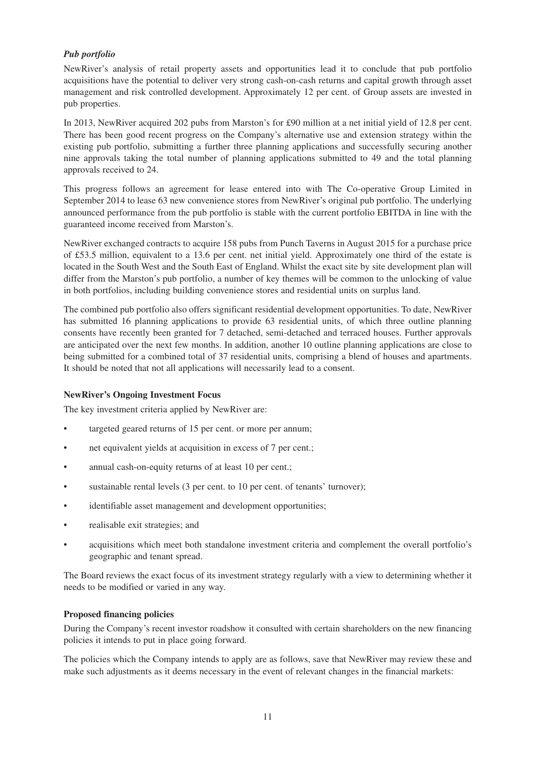#### *Pub portfolio*

NewRiver's analysis of retail property assets and opportunities lead it to conclude that pub portfolio acquisitions have the potential to deliver very strong cash-on-cash returns and capital growth through asset management and risk controlled development. Approximately 12 per cent. of Group assets are invested in pub properties.

In 2013, NewRiver acquired 202 pubs from Marston's for £90 million at a net initial yield of 12.8 per cent. There has been good recent progress on the Company's alternative use and extension strategy within the existing pub portfolio, submitting a further three planning applications and successfully securing another nine approvals taking the total number of planning applications submitted to 49 and the total planning approvals received to 24.

This progress follows an agreement for lease entered into with The Co-operative Group Limited in September 2014 to lease 63 new convenience stores from NewRiver's original pub portfolio. The underlying announced performance from the pub portfolio is stable with the current portfolio EBITDA in line with the guaranteed income received from Marston's.

NewRiver exchanged contracts to acquire 158 pubs from Punch Taverns in August 2015 for a purchase price of £53.5 million, equivalent to a 13.6 per cent. net initial yield. Approximately one third of the estate is located in the South West and the South East of England. Whilst the exact site by site development plan will differ from the Marston's pub portfolio, a number of key themes will be common to the unlocking of value in both portfolios, including building convenience stores and residential units on surplus land.

The combined pub portfolio also offers significant residential development opportunities. To date, NewRiver has submitted 16 planning applications to provide 63 residential units, of which three outline planning consents have recently been granted for 7 detached, semi-detached and terraced houses. Further approvals are anticipated over the next few months. In addition, another 10 outline planning applications are close to being submitted for a combined total of 37 residential units, comprising a blend of houses and apartments. It should be noted that not all applications will necessarily lead to a consent.

#### **NewRiver's Ongoing Investment Focus**

The key investment criteria applied by NewRiver are:

- targeted geared returns of 15 per cent. or more per annum:
- net equivalent yields at acquisition in excess of 7 per cent.;
- annual cash-on-equity returns of at least 10 per cent.;
- sustainable rental levels (3 per cent. to 10 per cent. of tenants' turnover);
- identifiable asset management and development opportunities;
- realisable exit strategies; and
- acquisitions which meet both standalone investment criteria and complement the overall portfolio's geographic and tenant spread.

The Board reviews the exact focus of its investment strategy regularly with a view to determining whether it needs to be modified or varied in any way.

#### **Proposed financing policies**

During the Company's recent investor roadshow it consulted with certain shareholders on the new financing policies it intends to put in place going forward.

The policies which the Company intends to apply are as follows, save that NewRiver may review these and make such adjustments as it deems necessary in the event of relevant changes in the financial markets: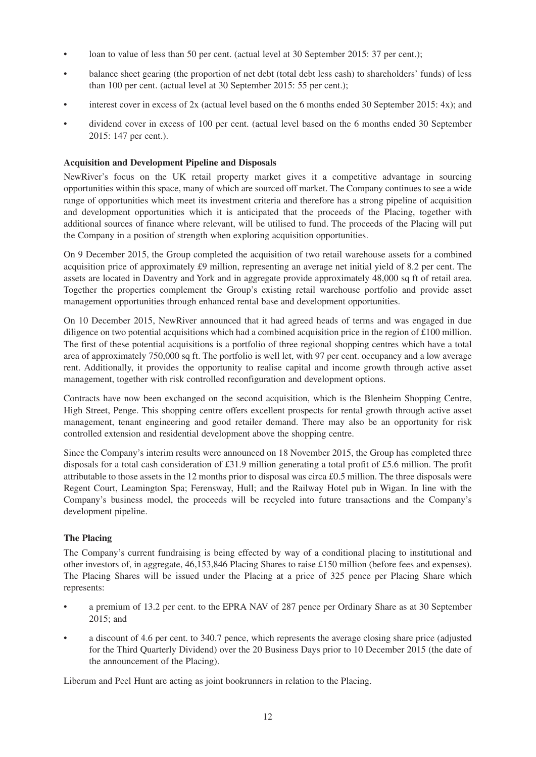- loan to value of less than 50 per cent. (actual level at 30 September 2015: 37 per cent.);
- balance sheet gearing (the proportion of net debt (total debt less cash) to shareholders' funds) of less than 100 per cent. (actual level at 30 September 2015: 55 per cent.);
- interest cover in excess of 2x (actual level based on the 6 months ended 30 September 2015: 4x); and
- dividend cover in excess of 100 per cent. (actual level based on the 6 months ended 30 September 2015: 147 per cent.).

#### **Acquisition and Development Pipeline and Disposals**

NewRiver's focus on the UK retail property market gives it a competitive advantage in sourcing opportunities within this space, many of which are sourced off market. The Company continues to see a wide range of opportunities which meet its investment criteria and therefore has a strong pipeline of acquisition and development opportunities which it is anticipated that the proceeds of the Placing, together with additional sources of finance where relevant, will be utilised to fund. The proceeds of the Placing will put the Company in a position of strength when exploring acquisition opportunities.

On 9 December 2015, the Group completed the acquisition of two retail warehouse assets for a combined acquisition price of approximately £9 million, representing an average net initial yield of 8.2 per cent. The assets are located in Daventry and York and in aggregate provide approximately 48,000 sq ft of retail area. Together the properties complement the Group's existing retail warehouse portfolio and provide asset management opportunities through enhanced rental base and development opportunities.

On 10 December 2015, NewRiver announced that it had agreed heads of terms and was engaged in due diligence on two potential acquisitions which had a combined acquisition price in the region of £100 million. The first of these potential acquisitions is a portfolio of three regional shopping centres which have a total area of approximately 750,000 sq ft. The portfolio is well let, with 97 per cent. occupancy and a low average rent. Additionally, it provides the opportunity to realise capital and income growth through active asset management, together with risk controlled reconfiguration and development options.

Contracts have now been exchanged on the second acquisition, which is the Blenheim Shopping Centre, High Street, Penge. This shopping centre offers excellent prospects for rental growth through active asset management, tenant engineering and good retailer demand. There may also be an opportunity for risk controlled extension and residential development above the shopping centre.

Since the Company's interim results were announced on 18 November 2015, the Group has completed three disposals for a total cash consideration of £31.9 million generating a total profit of £5.6 million. The profit attributable to those assets in the 12 months prior to disposal was circa £0.5 million. The three disposals were Regent Court, Leamington Spa; Ferensway, Hull; and the Railway Hotel pub in Wigan. In line with the Company's business model, the proceeds will be recycled into future transactions and the Company's development pipeline.

## **The Placing**

The Company's current fundraising is being effected by way of a conditional placing to institutional and other investors of, in aggregate, 46,153,846 Placing Shares to raise £150 million (before fees and expenses). The Placing Shares will be issued under the Placing at a price of 325 pence per Placing Share which represents:

- a premium of 13.2 per cent. to the EPRA NAV of 287 pence per Ordinary Share as at 30 September 2015; and
- a discount of 4.6 per cent. to 340.7 pence, which represents the average closing share price (adjusted for the Third Quarterly Dividend) over the 20 Business Days prior to 10 December 2015 (the date of the announcement of the Placing).

Liberum and Peel Hunt are acting as joint bookrunners in relation to the Placing.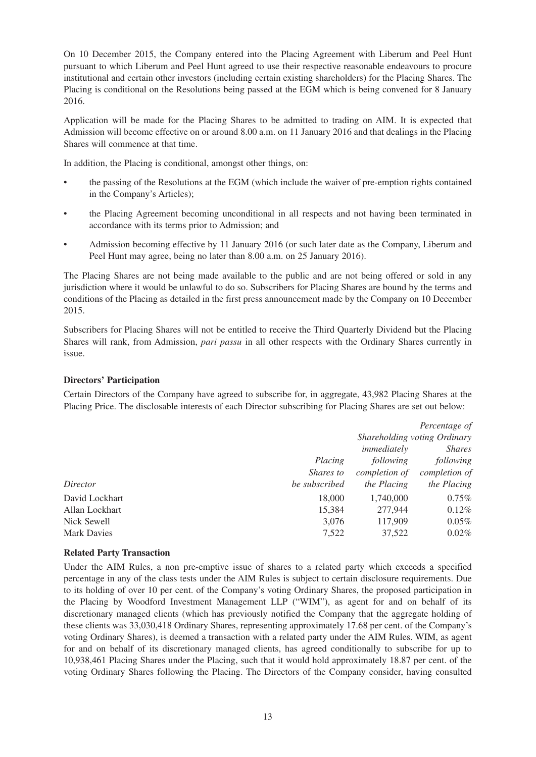On 10 December 2015, the Company entered into the Placing Agreement with Liberum and Peel Hunt pursuant to which Liberum and Peel Hunt agreed to use their respective reasonable endeavours to procure institutional and certain other investors (including certain existing shareholders) for the Placing Shares. The Placing is conditional on the Resolutions being passed at the EGM which is being convened for 8 January 2016.

Application will be made for the Placing Shares to be admitted to trading on AIM. It is expected that Admission will become effective on or around 8.00 a.m. on 11 January 2016 and that dealings in the Placing Shares will commence at that time.

In addition, the Placing is conditional, amongst other things, on:

- the passing of the Resolutions at the EGM (which include the waiver of pre-emption rights contained in the Company's Articles);
- the Placing Agreement becoming unconditional in all respects and not having been terminated in accordance with its terms prior to Admission; and
- Admission becoming effective by 11 January 2016 (or such later date as the Company, Liberum and Peel Hunt may agree, being no later than 8.00 a.m. on 25 January 2016).

The Placing Shares are not being made available to the public and are not being offered or sold in any jurisdiction where it would be unlawful to do so. Subscribers for Placing Shares are bound by the terms and conditions of the Placing as detailed in the first press announcement made by the Company on 10 December 2015.

Subscribers for Placing Shares will not be entitled to receive the Third Quarterly Dividend but the Placing Shares will rank, from Admission, *pari passu* in all other respects with the Ordinary Shares currently in issue.

#### **Directors' Participation**

Certain Directors of the Company have agreed to subscribe for, in aggregate, 43,982 Placing Shares at the Placing Price. The disclosable interests of each Director subscribing for Placing Shares are set out below:

|                    |                  |                              | Percentage of |  |
|--------------------|------------------|------------------------------|---------------|--|
|                    |                  | Shareholding voting Ordinary |               |  |
|                    |                  | immediately                  | <i>Shares</i> |  |
|                    | Placing          | following                    | following     |  |
|                    | <i>Shares to</i> | <i>completion of</i>         | completion of |  |
| Director           | be subscribed    | the Placing                  | the Placing   |  |
| David Lockhart     | 18,000           | 1,740,000                    | $0.75\%$      |  |
| Allan Lockhart     | 15,384           | 277,944                      | $0.12\%$      |  |
| Nick Sewell        | 3,076            | 117,909                      | 0.05%         |  |
| <b>Mark Davies</b> | 7,522            | 37,522                       | $0.02\%$      |  |

#### **Related Party Transaction**

Under the AIM Rules, a non pre-emptive issue of shares to a related party which exceeds a specified percentage in any of the class tests under the AIM Rules is subject to certain disclosure requirements. Due to its holding of over 10 per cent. of the Company's voting Ordinary Shares, the proposed participation in the Placing by Woodford Investment Management LLP ("WIM"), as agent for and on behalf of its discretionary managed clients (which has previously notified the Company that the aggregate holding of these clients was 33,030,418 Ordinary Shares, representing approximately 17.68 per cent. of the Company's voting Ordinary Shares), is deemed a transaction with a related party under the AIM Rules. WIM, as agent for and on behalf of its discretionary managed clients, has agreed conditionally to subscribe for up to 10,938,461 Placing Shares under the Placing, such that it would hold approximately 18.87 per cent. of the voting Ordinary Shares following the Placing. The Directors of the Company consider, having consulted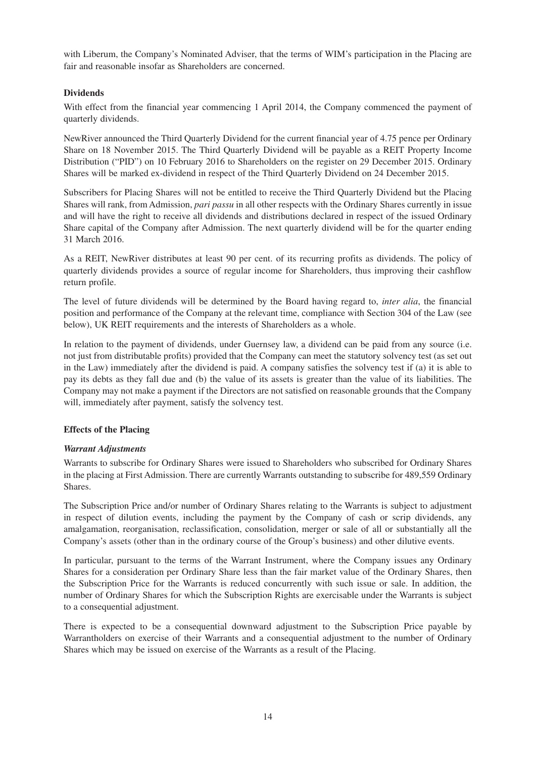with Liberum, the Company's Nominated Adviser, that the terms of WIM's participation in the Placing are fair and reasonable insofar as Shareholders are concerned.

#### **Dividends**

With effect from the financial year commencing 1 April 2014, the Company commenced the payment of quarterly dividends.

NewRiver announced the Third Quarterly Dividend for the current financial year of 4.75 pence per Ordinary Share on 18 November 2015. The Third Quarterly Dividend will be payable as a REIT Property Income Distribution ("PID") on 10 February 2016 to Shareholders on the register on 29 December 2015. Ordinary Shares will be marked ex-dividend in respect of the Third Quarterly Dividend on 24 December 2015.

Subscribers for Placing Shares will not be entitled to receive the Third Quarterly Dividend but the Placing Shares will rank, from Admission, *pari passu* in all other respects with the Ordinary Shares currently in issue and will have the right to receive all dividends and distributions declared in respect of the issued Ordinary Share capital of the Company after Admission. The next quarterly dividend will be for the quarter ending 31 March 2016.

As a REIT, NewRiver distributes at least 90 per cent. of its recurring profits as dividends. The policy of quarterly dividends provides a source of regular income for Shareholders, thus improving their cashflow return profile.

The level of future dividends will be determined by the Board having regard to, *inter alia*, the financial position and performance of the Company at the relevant time, compliance with Section 304 of the Law (see below), UK REIT requirements and the interests of Shareholders as a whole.

In relation to the payment of dividends, under Guernsey law, a dividend can be paid from any source (i.e. not just from distributable profits) provided that the Company can meet the statutory solvency test (as set out in the Law) immediately after the dividend is paid. A company satisfies the solvency test if (a) it is able to pay its debts as they fall due and (b) the value of its assets is greater than the value of its liabilities. The Company may not make a payment if the Directors are not satisfied on reasonable grounds that the Company will, immediately after payment, satisfy the solvency test.

#### **Effects of the Placing**

#### *Warrant Adjustments*

Warrants to subscribe for Ordinary Shares were issued to Shareholders who subscribed for Ordinary Shares in the placing at First Admission. There are currently Warrants outstanding to subscribe for 489,559 Ordinary Shares.

The Subscription Price and/or number of Ordinary Shares relating to the Warrants is subject to adjustment in respect of dilution events, including the payment by the Company of cash or scrip dividends, any amalgamation, reorganisation, reclassification, consolidation, merger or sale of all or substantially all the Company's assets (other than in the ordinary course of the Group's business) and other dilutive events.

In particular, pursuant to the terms of the Warrant Instrument, where the Company issues any Ordinary Shares for a consideration per Ordinary Share less than the fair market value of the Ordinary Shares, then the Subscription Price for the Warrants is reduced concurrently with such issue or sale. In addition, the number of Ordinary Shares for which the Subscription Rights are exercisable under the Warrants is subject to a consequential adjustment.

There is expected to be a consequential downward adjustment to the Subscription Price payable by Warrantholders on exercise of their Warrants and a consequential adjustment to the number of Ordinary Shares which may be issued on exercise of the Warrants as a result of the Placing.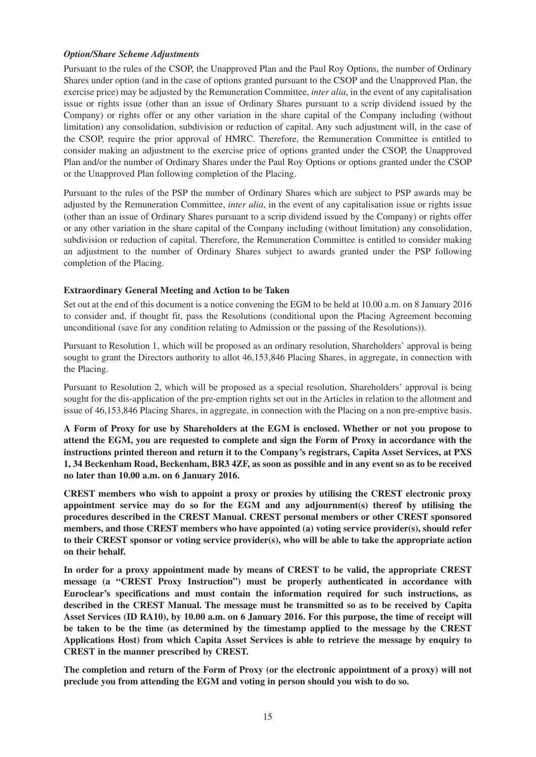#### *Option/Share Scheme Adjustments*

Pursuant to the rules of the CSOP, the Unapproved Plan and the Paul Roy Options, the number of Ordinary Shares under option (and in the case of options granted pursuant to the CSOP and the Unapproved Plan, the exercise price) may be adjusted by the Remuneration Committee, *inter alia*, in the event of any capitalisation issue or rights issue (other than an issue of Ordinary Shares pursuant to a scrip dividend issued by the Company) or rights offer or any other variation in the share capital of the Company including (without limitation) any consolidation, subdivision or reduction of capital. Any such adjustment will, in the case of the CSOP, require the prior approval of HMRC. Therefore, the Remuneration Committee is entitled to consider making an adjustment to the exercise price of options granted under the CSOP, the Unapproved Plan and/or the number of Ordinary Shares under the Paul Roy Options or options granted under the CSOP or the Unapproved Plan following completion of the Placing.

Pursuant to the rules of the PSP the number of Ordinary Shares which are subject to PSP awards may be adjusted by the Remuneration Committee, *inter alia*, in the event of any capitalisation issue or rights issue (other than an issue of Ordinary Shares pursuant to a scrip dividend issued by the Company) or rights offer or any other variation in the share capital of the Company including (without limitation) any consolidation, subdivision or reduction of capital. Therefore, the Remuneration Committee is entitled to consider making an adjustment to the number of Ordinary Shares subject to awards granted under the PSP following completion of the Placing.

#### **Extraordinary General Meeting and Action to be Taken**

Set out at the end of this document is a notice convening the EGM to be held at 10.00 a.m. on 8 January 2016 to consider and, if thought fit, pass the Resolutions (conditional upon the Placing Agreement becoming unconditional (save for any condition relating to Admission or the passing of the Resolutions)).

Pursuant to Resolution 1, which will be proposed as an ordinary resolution, Shareholders' approval is being sought to grant the Directors authority to allot 46,153,846 Placing Shares, in aggregate, in connection with the Placing.

Pursuant to Resolution 2, which will be proposed as a special resolution, Shareholders' approval is being sought for the dis-application of the pre-emption rights set out in the Articles in relation to the allotment and issue of 46,153,846 Placing Shares, in aggregate, in connection with the Placing on a non pre-emptive basis.

**A Form of Proxy for use by Shareholders at the EGM is enclosed. Whether or not you propose to attend the EGM, you are requested to complete and sign the Form of Proxy in accordance with the instructions printed thereon and return it to the Company's registrars, Capita Asset Services, at PXS 1, 34 Beckenham Road, Beckenham, BR3 4ZF, as soon as possible and in any event so as to be received no later than 10.00 a.m. on 6 January 2016.**

**CREST members who wish to appoint a proxy or proxies by utilising the CREST electronic proxy appointment service may do so for the EGM and any adjournment(s) thereof by utilising the procedures described in the CREST Manual. CREST personal members or other CREST sponsored members, and those CREST members who have appointed (a) voting service provider(s), should refer to their CREST sponsor or voting service provider(s), who will be able to take the appropriate action on their behalf.**

**In order for a proxy appointment made by means of CREST to be valid, the appropriate CREST message (a "CREST Proxy Instruction") must be properly authenticated in accordance with Euroclear's specifications and must contain the information required for such instructions, as described in the CREST Manual. The message must be transmitted so as to be received by Capita Asset Services (ID RA10), by 10.00 a.m. on 6 January 2016. For this purpose, the time of receipt will be taken to be the time (as determined by the timestamp applied to the message by the CREST Applications Host) from which Capita Asset Services is able to retrieve the message by enquiry to CREST in the manner prescribed by CREST.**

**The completion and return of the Form of Proxy (or the electronic appointment of a proxy) will not preclude you from attending the EGM and voting in person should you wish to do so.**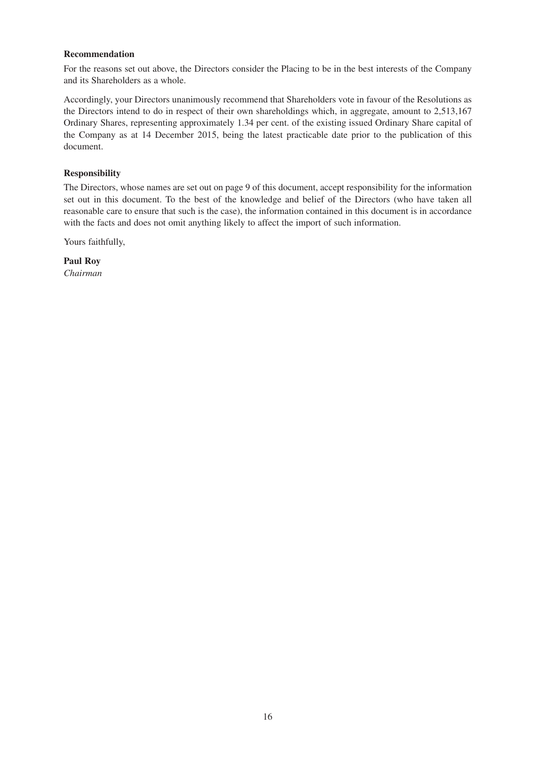#### **Recommendation**

For the reasons set out above, the Directors consider the Placing to be in the best interests of the Company and its Shareholders as a whole.

Accordingly, your Directors unanimously recommend that Shareholders vote in favour of the Resolutions as the Directors intend to do in respect of their own shareholdings which, in aggregate, amount to 2,513,167 Ordinary Shares, representing approximately 1.34 per cent. of the existing issued Ordinary Share capital of the Company as at 14 December 2015, being the latest practicable date prior to the publication of this document.

#### **Responsibility**

The Directors, whose names are set out on page 9 of this document, accept responsibility for the information set out in this document. To the best of the knowledge and belief of the Directors (who have taken all reasonable care to ensure that such is the case), the information contained in this document is in accordance with the facts and does not omit anything likely to affect the import of such information.

Yours faithfully,

**Paul Roy** *Chairman*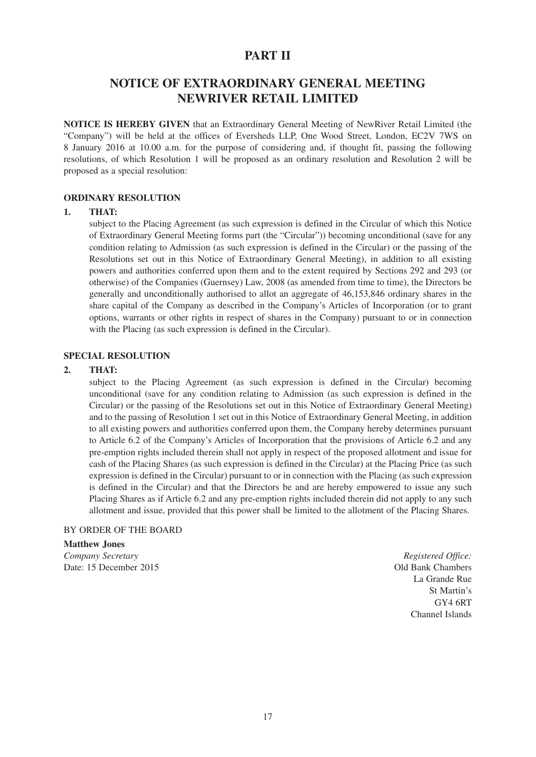## **PART II**

## **NOTICE OF EXTRAORDINARY GENERAL MEETING NEWRIVER RETAIL LIMITED**

**NOTICE IS HEREBY GIVEN** that an Extraordinary General Meeting of NewRiver Retail Limited (the "Company") will be held at the offices of Eversheds LLP, One Wood Street, London, EC2V 7WS on 8 January 2016 at 10.00 a.m. for the purpose of considering and, if thought fit, passing the following resolutions, of which Resolution 1 will be proposed as an ordinary resolution and Resolution 2 will be proposed as a special resolution:

#### **ORDINARY RESOLUTION**

#### **1. THAT:**

subject to the Placing Agreement (as such expression is defined in the Circular of which this Notice of Extraordinary General Meeting forms part (the "Circular")) becoming unconditional (save for any condition relating to Admission (as such expression is defined in the Circular) or the passing of the Resolutions set out in this Notice of Extraordinary General Meeting), in addition to all existing powers and authorities conferred upon them and to the extent required by Sections 292 and 293 (or otherwise) of the Companies (Guernsey) Law, 2008 (as amended from time to time), the Directors be generally and unconditionally authorised to allot an aggregate of 46,153,846 ordinary shares in the share capital of the Company as described in the Company's Articles of Incorporation (or to grant options, warrants or other rights in respect of shares in the Company) pursuant to or in connection with the Placing (as such expression is defined in the Circular).

#### **SPECIAL RESOLUTION**

#### **2. THAT:**

subject to the Placing Agreement (as such expression is defined in the Circular) becoming unconditional (save for any condition relating to Admission (as such expression is defined in the Circular) or the passing of the Resolutions set out in this Notice of Extraordinary General Meeting) and to the passing of Resolution 1 set out in this Notice of Extraordinary General Meeting, in addition to all existing powers and authorities conferred upon them, the Company hereby determines pursuant to Article 6.2 of the Company's Articles of Incorporation that the provisions of Article 6.2 and any pre-emption rights included therein shall not apply in respect of the proposed allotment and issue for cash of the Placing Shares (as such expression is defined in the Circular) at the Placing Price (as such expression is defined in the Circular) pursuant to or in connection with the Placing (as such expression is defined in the Circular) and that the Directors be and are hereby empowered to issue any such Placing Shares as if Article 6.2 and any pre-emption rights included therein did not apply to any such allotment and issue, provided that this power shall be limited to the allotment of the Placing Shares.

#### BY ORDER OF THE BOARD

#### **Matthew Jones**

*Company Secretary Registered Office:* Date: 15 December 2015 Old Bank Chambers

La Grande Rue St Martin's GY4 6RT Channel Islands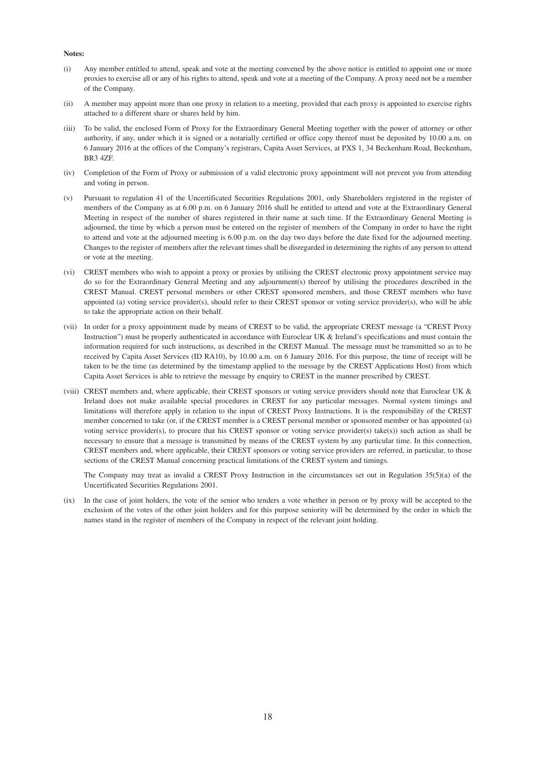#### **Notes:**

- (i) Any member entitled to attend, speak and vote at the meeting convened by the above notice is entitled to appoint one or more proxies to exercise all or any of his rights to attend, speak and vote at a meeting of the Company. A proxy need not be a member of the Company.
- (ii) A member may appoint more than one proxy in relation to a meeting, provided that each proxy is appointed to exercise rights attached to a different share or shares held by him.
- (iii) To be valid, the enclosed Form of Proxy for the Extraordinary General Meeting together with the power of attorney or other authority, if any, under which it is signed or a notarially certified or office copy thereof must be deposited by 10.00 a.m. on 6 January 2016 at the offices of the Company's registrars, Capita Asset Services, at PXS 1, 34 Beckenham Road, Beckenham, BR3 4ZF.
- (iv) Completion of the Form of Proxy or submission of a valid electronic proxy appointment will not prevent you from attending and voting in person.
- (v) Pursuant to regulation 41 of the Uncertificated Securities Regulations 2001, only Shareholders registered in the register of members of the Company as at 6.00 p.m. on 6 January 2016 shall be entitled to attend and vote at the Extraordinary General Meeting in respect of the number of shares registered in their name at such time. If the Extraordinary General Meeting is adjourned, the time by which a person must be entered on the register of members of the Company in order to have the right to attend and vote at the adjourned meeting is 6.00 p.m. on the day two days before the date fixed for the adjourned meeting. Changes to the register of members after the relevant times shall be disregarded in determining the rights of any person to attend or vote at the meeting.
- (vi) CREST members who wish to appoint a proxy or proxies by utilising the CREST electronic proxy appointment service may do so for the Extraordinary General Meeting and any adjournment(s) thereof by utilising the procedures described in the CREST Manual. CREST personal members or other CREST sponsored members, and those CREST members who have appointed (a) voting service provider(s), should refer to their CREST sponsor or voting service provider(s), who will be able to take the appropriate action on their behalf.
- (vii) In order for a proxy appointment made by means of CREST to be valid, the appropriate CREST message (a "CREST Proxy Instruction") must be properly authenticated in accordance with Euroclear UK & Ireland's specifications and must contain the information required for such instructions, as described in the CREST Manual. The message must be transmitted so as to be received by Capita Asset Services (ID RA10), by 10.00 a.m. on 6 January 2016. For this purpose, the time of receipt will be taken to be the time (as determined by the timestamp applied to the message by the CREST Applications Host) from which Capita Asset Services is able to retrieve the message by enquiry to CREST in the manner prescribed by CREST.
- (viii) CREST members and, where applicable, their CREST sponsors or voting service providers should note that Euroclear UK & Ireland does not make available special procedures in CREST for any particular messages. Normal system timings and limitations will therefore apply in relation to the input of CREST Proxy Instructions. It is the responsibility of the CREST member concerned to take (or, if the CREST member is a CREST personal member or sponsored member or has appointed (a) voting service provider(s), to procure that his CREST sponsor or voting service provider(s) take(s)) such action as shall be necessary to ensure that a message is transmitted by means of the CREST system by any particular time. In this connection, CREST members and, where applicable, their CREST sponsors or voting service providers are referred, in particular, to those sections of the CREST Manual concerning practical limitations of the CREST system and timings.

The Company may treat as invalid a CREST Proxy Instruction in the circumstances set out in Regulation 35(5)(a) of the Uncertificated Securities Regulations 2001.

(ix) In the case of joint holders, the vote of the senior who tenders a vote whether in person or by proxy will be accepted to the exclusion of the votes of the other joint holders and for this purpose seniority will be determined by the order in which the names stand in the register of members of the Company in respect of the relevant joint holding.